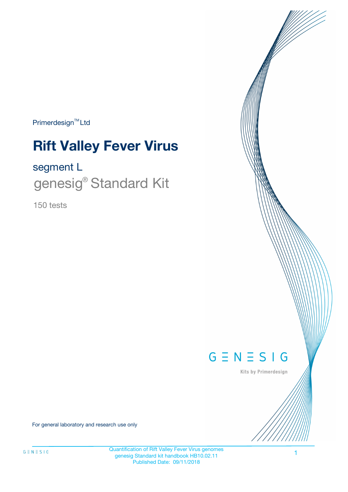$Primerdesign^{\text{TM}}$ Ltd

# **Rift Valley Fever Virus**

### segment L

genesig<sup>®</sup> Standard Kit

150 tests



Kits by Primerdesign

For general laboratory and research use only

Quantification of Rift Valley Fever Virus genomes genesig Standard kit handbook HB10.02.11 Published Date: 09/11/2018

1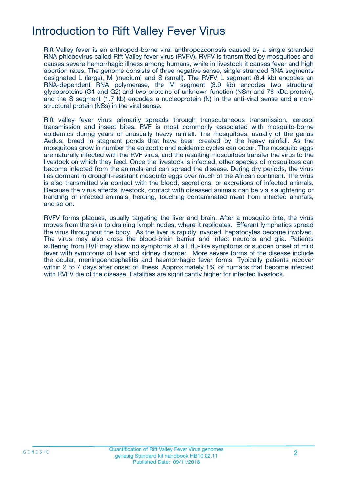### Introduction to Rift Valley Fever Virus

Rift Valley fever is an arthropod-borne viral anthropozoonosis caused by a single stranded RNA phlebovirus called Rift Valley fever virus (RVFV). RVFV is transmitted by mosquitoes and causes severe hemorrhagic illness among humans, while in livestock it causes fever and high abortion rates. The genome consists of three negative sense, single stranded RNA segments designated L (large), M (medium) and S (small). The RVFV L segment (6.4 kb) encodes an RNA-dependent RNA polymerase, the M segment (3.9 kb) encodes two structural glycoproteins (G1 and G2) and two proteins of unknown function (NSm and 78-kDa protein), and the S segment (1.7 kb) encodes a nucleoprotein (N) in the anti-viral sense and a nonstructural protein (NSs) in the viral sense.

Rift valley fever virus primarily spreads through transcutaneous transmission, aerosol transmission and insect bites. RVF is most commonly associated with mosquito-borne epidemics during years of unusually heavy rainfall. The mosquitoes, usually of the genus Aedus, breed in stagnant ponds that have been created by the heavy rainfall. As the mosquitoes grow in number the epizootic and epidemic cycles can occur. The mosquito eggs are naturally infected with the RVF virus, and the resulting mosquitoes transfer the virus to the livestock on which they feed. Once the livestock is infected, other species of mosquitoes can become infected from the animals and can spread the disease. During dry periods, the virus lies dormant in drought-resistant mosquito eggs over much of the African continent. The virus is also transmitted via contact with the blood, secretions, or excretions of infected animals. Because the virus affects livestock, contact with diseased animals can be via slaughtering or handling of infected animals, herding, touching contaminated meat from infected animals, and so on.

RVFV forms plaques, usually targeting the liver and brain. After a mosquito bite, the virus moves from the skin to draining lymph nodes, where it replicates. Efferent lymphatics spread the virus throughout the body. As the liver is rapidly invaded, hepatocytes become involved. The virus may also cross the blood-brain barrier and infect neurons and glia. Patients suffering from RVF may show no symptoms at all, flu-like symptoms or sudden onset of mild fever with symptoms of liver and kidney disorder. More severe forms of the disease include the ocular, meningoencephalitis and haemorrhagic fever forms. Typically patients recover within 2 to 7 days after onset of illness. Approximately 1% of humans that become infected with RVFV die of the disease. Fatalities are significantly higher for infected livestock.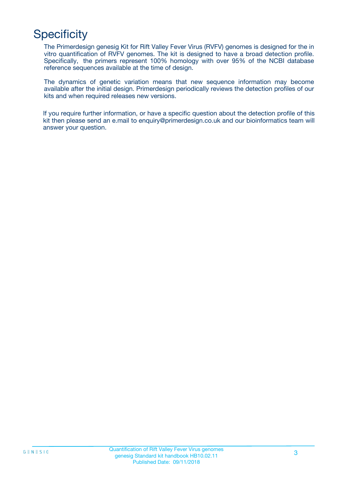# **Specificity**

The Primerdesign genesig Kit for Rift Valley Fever Virus (RVFV) genomes is designed for the in vitro quantification of RVFV genomes. The kit is designed to have a broad detection profile. Specifically, the primers represent 100% homology with over 95% of the NCBI database reference sequences available at the time of design.

The dynamics of genetic variation means that new sequence information may become available after the initial design. Primerdesign periodically reviews the detection profiles of our kits and when required releases new versions.

If you require further information, or have a specific question about the detection profile of this kit then please send an e.mail to enquiry@primerdesign.co.uk and our bioinformatics team will answer your question.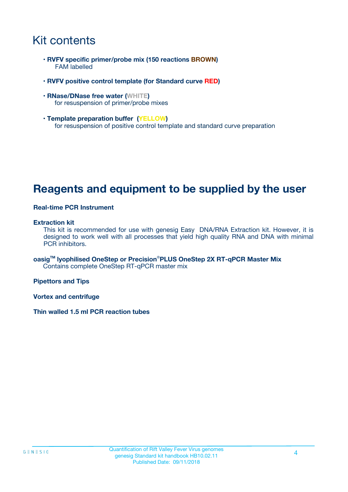### Kit contents

- **RVFV specific primer/probe mix (150 reactions BROWN)** FAM labelled
- **RVFV positive control template (for Standard curve RED)**
- **RNase/DNase free water (WHITE)** for resuspension of primer/probe mixes
- **Template preparation buffer (YELLOW)** for resuspension of positive control template and standard curve preparation

### **Reagents and equipment to be supplied by the user**

#### **Real-time PCR Instrument**

#### **Extraction kit**

This kit is recommended for use with genesig Easy DNA/RNA Extraction kit. However, it is designed to work well with all processes that yield high quality RNA and DNA with minimal PCR inhibitors.

**oasigTM lyophilised OneStep or Precision**®**PLUS OneStep 2X RT-qPCR Master Mix** Contains complete OneStep RT-qPCR master mix

**Pipettors and Tips**

**Vortex and centrifuge**

**Thin walled 1.5 ml PCR reaction tubes**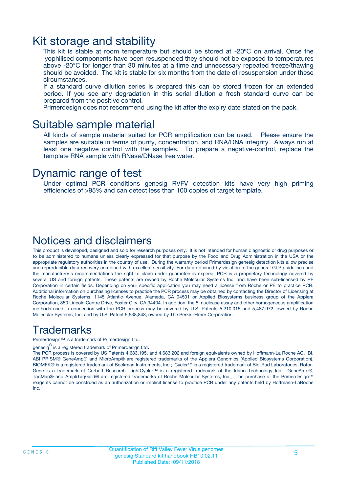### Kit storage and stability

This kit is stable at room temperature but should be stored at -20ºC on arrival. Once the lyophilised components have been resuspended they should not be exposed to temperatures above -20°C for longer than 30 minutes at a time and unnecessary repeated freeze/thawing should be avoided. The kit is stable for six months from the date of resuspension under these circumstances.

If a standard curve dilution series is prepared this can be stored frozen for an extended period. If you see any degradation in this serial dilution a fresh standard curve can be prepared from the positive control.

Primerdesign does not recommend using the kit after the expiry date stated on the pack.

### Suitable sample material

All kinds of sample material suited for PCR amplification can be used. Please ensure the samples are suitable in terms of purity, concentration, and RNA/DNA integrity. Always run at least one negative control with the samples. To prepare a negative-control, replace the template RNA sample with RNase/DNase free water.

### Dynamic range of test

Under optimal PCR conditions genesig RVFV detection kits have very high priming efficiencies of >95% and can detect less than 100 copies of target template.

### Notices and disclaimers

This product is developed, designed and sold for research purposes only. It is not intended for human diagnostic or drug purposes or to be administered to humans unless clearly expressed for that purpose by the Food and Drug Administration in the USA or the appropriate regulatory authorities in the country of use. During the warranty period Primerdesign genesig detection kits allow precise and reproducible data recovery combined with excellent sensitivity. For data obtained by violation to the general GLP guidelines and the manufacturer's recommendations the right to claim under guarantee is expired. PCR is a proprietary technology covered by several US and foreign patents. These patents are owned by Roche Molecular Systems Inc. and have been sub-licensed by PE Corporation in certain fields. Depending on your specific application you may need a license from Roche or PE to practice PCR. Additional information on purchasing licenses to practice the PCR process may be obtained by contacting the Director of Licensing at Roche Molecular Systems, 1145 Atlantic Avenue, Alameda, CA 94501 or Applied Biosystems business group of the Applera Corporation, 850 Lincoln Centre Drive, Foster City, CA 94404. In addition, the 5' nuclease assay and other homogeneous amplification methods used in connection with the PCR process may be covered by U.S. Patents 5,210,015 and 5,487,972, owned by Roche Molecular Systems, Inc, and by U.S. Patent 5,538,848, owned by The Perkin-Elmer Corporation.

### Trademarks

Primerdesign™ is a trademark of Primerdesign Ltd.

genesig $^\circledR$  is a registered trademark of Primerdesign Ltd.

The PCR process is covered by US Patents 4,683,195, and 4,683,202 and foreign equivalents owned by Hoffmann-La Roche AG. BI, ABI PRISM® GeneAmp® and MicroAmp® are registered trademarks of the Applera Genomics (Applied Biosystems Corporation). BIOMEK® is a registered trademark of Beckman Instruments, Inc.; iCycler™ is a registered trademark of Bio-Rad Laboratories, Rotor-Gene is a trademark of Corbett Research. LightCycler™ is a registered trademark of the Idaho Technology Inc. GeneAmp®, TaqMan® and AmpliTaqGold® are registered trademarks of Roche Molecular Systems, Inc., The purchase of the Primerdesign™ reagents cannot be construed as an authorization or implicit license to practice PCR under any patents held by Hoffmann-LaRoche Inc.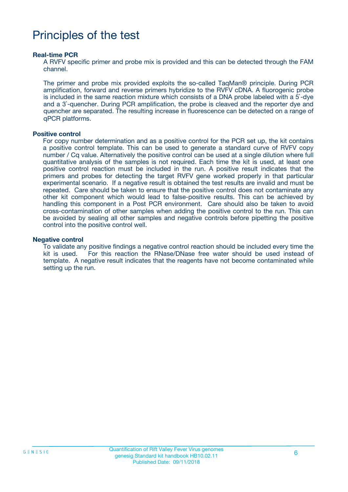### Principles of the test

#### **Real-time PCR**

A RVFV specific primer and probe mix is provided and this can be detected through the FAM channel.

The primer and probe mix provided exploits the so-called TaqMan® principle. During PCR amplification, forward and reverse primers hybridize to the RVFV cDNA. A fluorogenic probe is included in the same reaction mixture which consists of a DNA probe labeled with a 5`-dye and a 3`-quencher. During PCR amplification, the probe is cleaved and the reporter dye and quencher are separated. The resulting increase in fluorescence can be detected on a range of qPCR platforms.

#### **Positive control**

For copy number determination and as a positive control for the PCR set up, the kit contains a positive control template. This can be used to generate a standard curve of RVFV copy number / Cq value. Alternatively the positive control can be used at a single dilution where full quantitative analysis of the samples is not required. Each time the kit is used, at least one positive control reaction must be included in the run. A positive result indicates that the primers and probes for detecting the target RVFV gene worked properly in that particular experimental scenario. If a negative result is obtained the test results are invalid and must be repeated. Care should be taken to ensure that the positive control does not contaminate any other kit component which would lead to false-positive results. This can be achieved by handling this component in a Post PCR environment. Care should also be taken to avoid cross-contamination of other samples when adding the positive control to the run. This can be avoided by sealing all other samples and negative controls before pipetting the positive control into the positive control well.

#### **Negative control**

To validate any positive findings a negative control reaction should be included every time the kit is used. For this reaction the RNase/DNase free water should be used instead of template. A negative result indicates that the reagents have not become contaminated while setting up the run.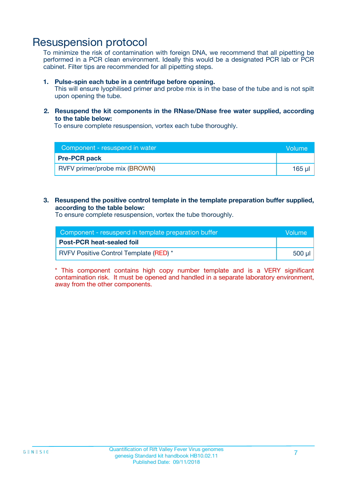### Resuspension protocol

To minimize the risk of contamination with foreign DNA, we recommend that all pipetting be performed in a PCR clean environment. Ideally this would be a designated PCR lab or PCR cabinet. Filter tips are recommended for all pipetting steps.

#### **1. Pulse-spin each tube in a centrifuge before opening.**

This will ensure lyophilised primer and probe mix is in the base of the tube and is not spilt upon opening the tube.

#### **2. Resuspend the kit components in the RNase/DNase free water supplied, according to the table below:**

To ensure complete resuspension, vortex each tube thoroughly.

| Component - resuspend in water | <b>Nolume</b> |
|--------------------------------|---------------|
| <b>Pre-PCR pack</b>            |               |
| RVFV primer/probe mix (BROWN)  | $165$ $\mu$   |

#### **3. Resuspend the positive control template in the template preparation buffer supplied, according to the table below:**

To ensure complete resuspension, vortex the tube thoroughly.

| Component - resuspend in template preparation buffer |        |  |
|------------------------------------------------------|--------|--|
| <b>Post-PCR heat-sealed foil</b>                     |        |  |
| <b>RVFV Positive Control Template (RED)</b> *        | 500 µl |  |

\* This component contains high copy number template and is a VERY significant contamination risk. It must be opened and handled in a separate laboratory environment, away from the other components.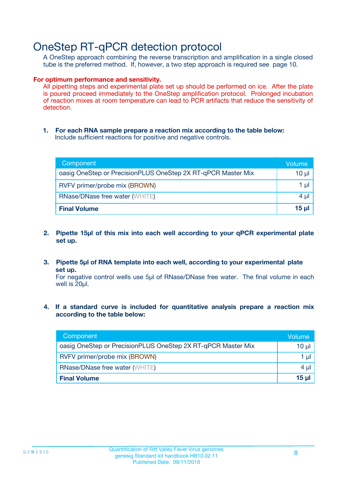### OneStep RT-qPCR detection protocol

A OneStep approach combining the reverse transcription and amplification in a single closed tube is the preferred method. If, however, a two step approach is required see page 10.

#### **For optimum performance and sensitivity.**

All pipetting steps and experimental plate set up should be performed on ice. After the plate is poured proceed immediately to the OneStep amplification protocol. Prolonged incubation of reaction mixes at room temperature can lead to PCR artifacts that reduce the sensitivity of detection.

**1. For each RNA sample prepare a reaction mix according to the table below:** Include sufficient reactions for positive and negative controls.

| Component                                                    | Volume     |
|--------------------------------------------------------------|------------|
| oasig OneStep or PrecisionPLUS OneStep 2X RT-qPCR Master Mix | $10 \mu$   |
| RVFV primer/probe mix (BROWN)                                | 1 µl       |
| <b>RNase/DNase free water (WHITE)</b>                        | 4 µl       |
| <b>Final Volume</b>                                          | $15$ $\mu$ |

- **2. Pipette 15µl of this mix into each well according to your qPCR experimental plate set up.**
- **3. Pipette 5µl of RNA template into each well, according to your experimental plate set up.**

For negative control wells use 5µl of RNase/DNase free water. The final volume in each well is 20ul.

**4. If a standard curve is included for quantitative analysis prepare a reaction mix according to the table below:**

| Component                                                    | Volume |
|--------------------------------------------------------------|--------|
| oasig OneStep or PrecisionPLUS OneStep 2X RT-qPCR Master Mix | 10 µl  |
| RVFV primer/probe mix (BROWN)                                | 1 µl   |
| <b>RNase/DNase free water (WHITE)</b>                        | 4 µl   |
| <b>Final Volume</b>                                          | 15 µl  |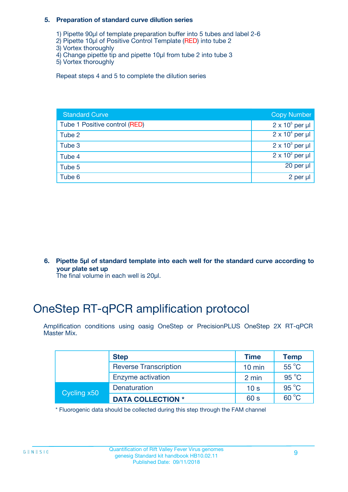#### **5. Preparation of standard curve dilution series**

- 1) Pipette 90µl of template preparation buffer into 5 tubes and label 2-6
- 2) Pipette 10µl of Positive Control Template (RED) into tube 2
- 3) Vortex thoroughly
- 4) Change pipette tip and pipette 10µl from tube 2 into tube 3
- 5) Vortex thoroughly

Repeat steps 4 and 5 to complete the dilution series

| <b>Standard Curve</b>         | <b>Copy Number</b>     |
|-------------------------------|------------------------|
| Tube 1 Positive control (RED) | $2 \times 10^5$ per µl |
| Tube 2                        | $2 \times 10^4$ per µl |
| Tube 3                        | $2 \times 10^3$ per µl |
| Tube 4                        | $2 \times 10^2$ per µl |
| Tube 5                        | 20 per $\mu$           |
| Tube 6                        | 2 per µl               |

**6. Pipette 5µl of standard template into each well for the standard curve according to your plate set up**

The final volume in each well is 20ul.

## OneStep RT-qPCR amplification protocol

Amplification conditions using oasig OneStep or PrecisionPLUS OneStep 2X RT-qPCR Master Mix.

|             | <b>Step</b>                  | <b>Time</b>      | <b>Temp</b>    |
|-------------|------------------------------|------------------|----------------|
|             | <b>Reverse Transcription</b> | $10 \text{ min}$ | $55^{\circ}$ C |
|             | Enzyme activation            | 2 min            | $95^{\circ}$ C |
| Cycling x50 | Denaturation                 | 10 <sub>s</sub>  | $95^{\circ}$ C |
|             | <b>DATA COLLECTION *</b>     | 60 s             | $60^{\circ}$ C |

\* Fluorogenic data should be collected during this step through the FAM channel